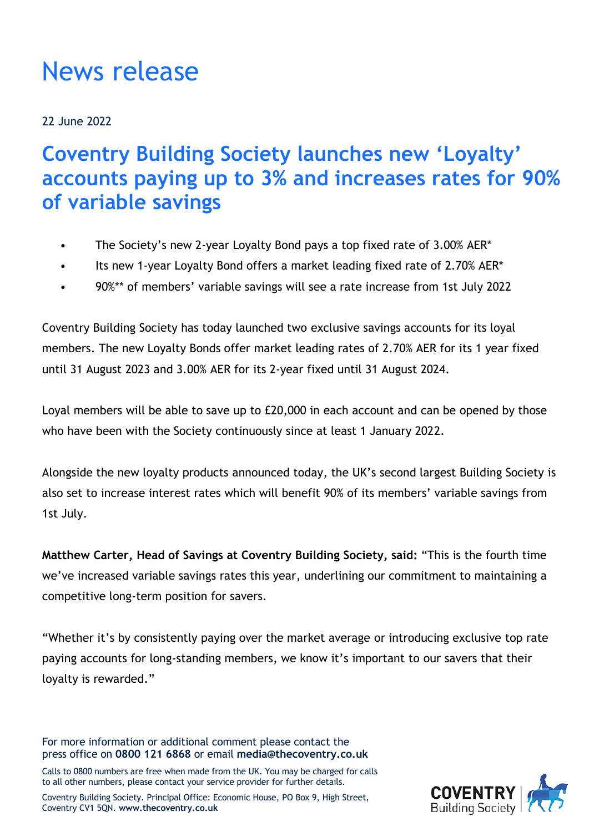## News release

22 June 2022

## **Coventry Building Society launches new 'Loyalty' accounts paying up to 3% and increases rates for 90% of variable savings**

- The Society's new 2-year Loyalty Bond pays a top fixed rate of 3.00% AER\*
- Its new 1-year Loyalty Bond offers a market leading fixed rate of 2.70% AER\*
- 90%\*\* of members' variable savings will see a rate increase from 1st July 2022

Coventry Building Society has today launched two exclusive savings accounts for its loyal members. The new Loyalty Bonds offer market leading rates of 2.70% AER for its 1 year fixed until 31 August 2023 and 3.00% AER for its 2-year fixed until 31 August 2024.

Loyal members will be able to save up to £20,000 in each account and can be opened by those who have been with the Society continuously since at least 1 January 2022.

Alongside the new loyalty products announced today, the UK's second largest Building Society is also set to increase interest rates which will benefit 90% of its members' variable savings from 1st July.

**Matthew Carter, Head of Savings at Coventry Building Society, said:** "This is the fourth time we've increased variable savings rates this year, underlining our commitment to maintaining a competitive long-term position for savers.

"Whether it's by consistently paying over the market average or introducing exclusive top rate paying accounts for long-standing members, we know it's important to our savers that their loyalty is rewarded."

For more information or additional comment please contact the press office on **0800 121 6868** or email **media@thecoventry.co.uk**

Calls to 0800 numbers are free when made from the UK. You may be charged for calls to all other numbers, please contact your service provider for further details.



Coventry Building Society. Principal Office: Economic House, PO Box 9, High Street, Coventry CV1 5QN. **www.thecoventry.co.uk**